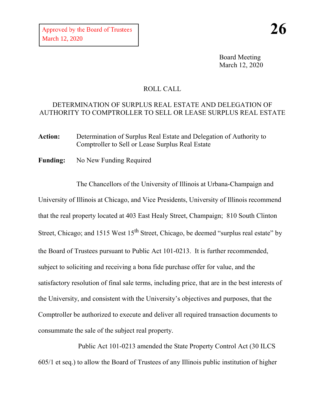Board Meeting March 12, 2020

## ROLL CALL

## DETERMINATION OF SURPLUS REAL ESTATE AND DELEGATION OF AUTHORITY TO COMPTROLLER TO SELL OR LEASE SURPLUS REAL ESTATE

**Action:** Determination of Surplus Real Estate and Delegation of Authority to Comptroller to Sell or Lease Surplus Real Estate

**Funding:** No New Funding Required

The Chancellors of the University of Illinois at Urbana-Champaign and University of Illinois at Chicago, and Vice Presidents, University of Illinois recommend that the real property located at 403 East Healy Street, Champaign; 810 South Clinton Street, Chicago; and 1515 West  $15<sup>th</sup>$  Street, Chicago, be deemed "surplus real estate" by the Board of Trustees pursuant to Public Act 101-0213. It is further recommended, subject to soliciting and receiving a bona fide purchase offer for value, and the satisfactory resolution of final sale terms, including price, that are in the best interests of the University, and consistent with the University's objectives and purposes, that the Comptroller be authorized to execute and deliver all required transaction documents to consummate the sale of the subject real property.

Public Act 101-0213 amended the State Property Control Act (30 ILCS 605/1 et seq.) to allow the Board of Trustees of any Illinois public institution of higher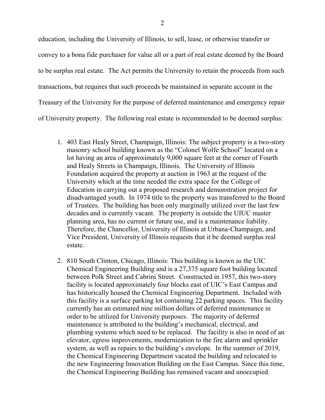education, including the University of Illinois, to sell, lease, or otherwise transfer or convey to a bona fide purchaser for value all or a part of real estate deemed by the Board to be surplus real estate. The Act permits the University to retain the proceeds from such transactions, but requires that such proceeds be maintained in separate account in the Treasury of the University for the purpose of deferred maintenance and emergency repair of University property. The following real estate is recommended to be deemed surplus:

- 1. 403 East Healy Street, Champaign, Illinois: The subject property is a two-story masonry school building known as the "Colonel Wolfe School" located on a lot having an area of approximately 9,000 square feet at the corner of Fourth and Healy Streets in Champaign, Illinois. The University of Illinois Foundation acquired the property at auction in 1963 at the request of the University which at the time needed the extra space for the College of Education in carrying out a proposed research and demonstration project for disadvantaged youth. In 1974 title to the property was transferred to the Board of Trustees. The building has been only marginally utilized over the last few decades and is currently vacant. The property is outside the UIUC master planning area, has no current or future use, and is a maintenance liability. Therefore, the Chancellor, University of Illinois at Urbana-Champaign, and Vice President, University of Illinois requests that it be deemed surplus real estate.
- 2. 810 South Clinton, Chicago, Illinois: This building is known as the UIC Chemical Engineering Building and is a 27,375 square foot building located between Polk Street and Cabrini Street. Constructed in 1957, this two-story facility is located approximately four blocks east of UIC's East Campus and has historically housed the Chemical Engineering Department. Included with this facility is a surface parking lot containing 22 parking spaces. This facility currently has an estimated nine million dollars of deferred maintenance in order to be utilized for University purposes. The majority of deferred maintenance is attributed to the building's mechanical, electrical, and plumbing systems which need to be replaced. The facility is also in need of an elevator, egress improvements, modernization to the fire alarm and sprinkler system, as well as repairs to the building's envelope. In the summer of 2019, the Chemical Engineering Department vacated the building and relocated to the new Engineering Innovation Building on the East Campus. Since this time, the Chemical Engineering Building has remained vacant and unoccupied.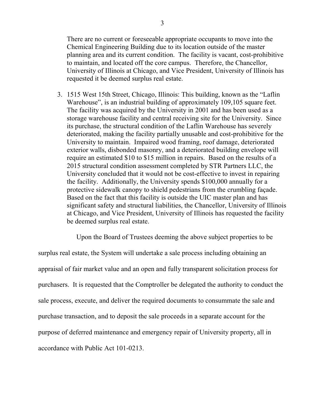There are no current or foreseeable appropriate occupants to move into the Chemical Engineering Building due to its location outside of the master planning area and its current condition. The facility is vacant, cost-prohibitive to maintain, and located off the core campus. Therefore, the Chancellor, University of Illinois at Chicago, and Vice President, University of Illinois has requested it be deemed surplus real estate.

3. 1515 West 15th Street, Chicago, Illinois: This building, known as the "Laflin Warehouse", is an industrial building of approximately 109,105 square feet. The facility was acquired by the University in 2001 and has been used as a storage warehouse facility and central receiving site for the University. Since its purchase, the structural condition of the Laflin Warehouse has severely deteriorated, making the facility partially unusable and cost-prohibitive for the University to maintain. Impaired wood framing, roof damage, deteriorated exterior walls, disbonded masonry, and a deteriorated building envelope will require an estimated \$10 to \$15 million in repairs. Based on the results of a 2015 structural condition assessment completed by STR Partners LLC, the University concluded that it would not be cost-effective to invest in repairing the facility. Additionally, the University spends \$100,000 annually for a protective sidewalk canopy to shield pedestrians from the crumbling façade. Based on the fact that this facility is outside the UIC master plan and has significant safety and structural liabilities, the Chancellor, University of Illinois at Chicago, and Vice President, University of Illinois has requested the facility be deemed surplus real estate.

Upon the Board of Trustees deeming the above subject properties to be

surplus real estate, the System will undertake a sale process including obtaining an appraisal of fair market value and an open and fully transparent solicitation process for purchasers. It is requested that the Comptroller be delegated the authority to conduct the sale process, execute, and deliver the required documents to consummate the sale and purchase transaction, and to deposit the sale proceeds in a separate account for the purpose of deferred maintenance and emergency repair of University property, all in accordance with Public Act 101-0213.